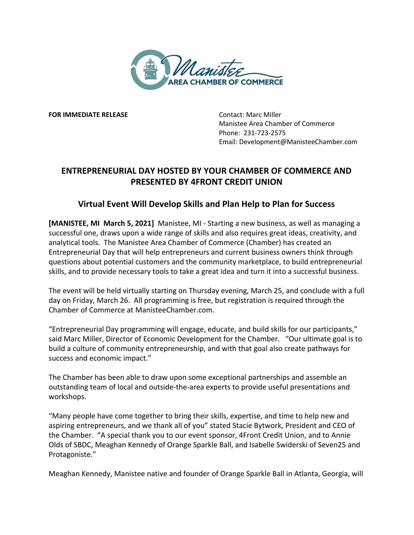

**FOR IMMEDIATE RELEASE CONTACT: Marc Miller** 

Manistee Area Chamber of Commerce Phone: 231-723-2575 Email: Development@ManisteeChamber.com

## **ENTREPRENEURIAL DAY HOSTED BY YOUR CHAMBER OF COMMERCE AND PRESENTED BY 4FRONT CREDIT UNION**

## **Virtual Event Will Develop Skills and Plan Help to Plan for Success**

**[MANISTEE, MI March 5, 2021]** Manistee, MI - Starting a new business, as well as managing a successful one, draws upon a wide range of skills and also requires great ideas, creativity, and analytical tools. The Manistee Area Chamber of Commerce (Chamber) has created an Entrepreneurial Day that will help entrepreneurs and current business owners think through questions about potential customers and the community marketplace, to build entrepreneurial skills, and to provide necessary tools to take a great idea and turn it into a successful business.

The event will be held virtually starting on Thursday evening, March 25, and conclude with a full day on Friday, March 26. All programming is free, but registration is required through the Chamber of Commerce at ManisteeChamber.com.

"Entrepreneurial Day programming will engage, educate, and build skills for our participants," said Marc Miller, Director of Economic Development for the Chamber. "Our ultimate goal is to build a culture of community entrepreneurship, and with that goal also create pathways for success and economic impact."

The Chamber has been able to draw upon some exceptional partnerships and assemble an outstanding team of local and outside-the-area experts to provide useful presentations and workshops.

"Many people have come together to bring their skills, expertise, and time to help new and aspiring entrepreneurs, and we thank all of you" stated Stacie Bytwork, President and CEO of the Chamber. "A special thank you to our event sponsor, 4Front Credit Union, and to Annie Olds of SBDC, Meaghan Kennedy of Orange Sparkle Ball, and Isabelle Swiderski of Seven25 and Protagoniste."

Meaghan Kennedy, Manistee native and founder of Orange Sparkle Ball in Atlanta, Georgia, will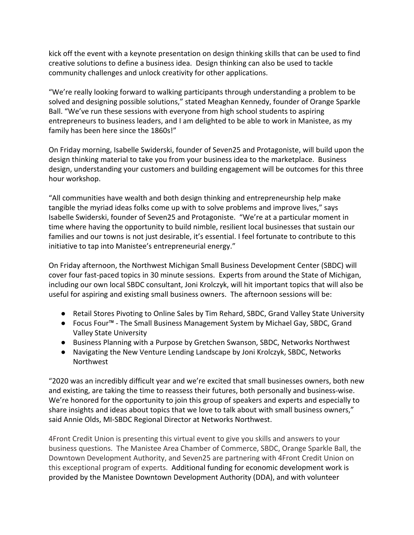kick off the event with a keynote presentation on design thinking skills that can be used to find creative solutions to define a business idea. Design thinking can also be used to tackle community challenges and unlock creativity for other applications.

"We're really looking forward to walking participants through understanding a problem to be solved and designing possible solutions," stated Meaghan Kennedy, founder of Orange Sparkle Ball. "We've run these sessions with everyone from high school students to aspiring entrepreneurs to business leaders, and I am delighted to be able to work in Manistee, as my family has been here since the 1860s!"

On Friday morning, Isabelle Swiderski, founder of Seven25 and Protagoniste, will build upon the design thinking material to take you from your business idea to the marketplace. Business design, understanding your customers and building engagement will be outcomes for this three hour workshop.

"All communities have wealth and both design thinking and entrepreneurship help make tangible the myriad ideas folks come up with to solve problems and improve lives," says Isabelle Swiderski, founder of Seven25 and Protagoniste. "We're at a particular moment in time where having the opportunity to build nimble, resilient local businesses that sustain our families and our towns is not just desirable, it's essential. I feel fortunate to contribute to this initiative to tap into Manistee's entrepreneurial energy."

On Friday afternoon, the Northwest Michigan Small Business Development Center (SBDC) will cover four fast-paced topics in 30 minute sessions. Experts from around the State of Michigan, including our own local SBDC consultant, Joni Krolczyk, will hit important topics that will also be useful for aspiring and existing small business owners. The afternoon sessions will be:

- Retail Stores Pivoting to Online Sales by Tim Rehard, SBDC, Grand Valley State University
- Focus Four™ The Small Business Management System by Michael Gay, SBDC, Grand Valley State University
- Business Planning with a Purpose by Gretchen Swanson, SBDC, Networks Northwest
- Navigating the New Venture Lending Landscape by Joni Krolczyk, SBDC, Networks **Northwest**

"2020 was an incredibly difficult year and we're excited that small businesses owners, both new and existing, are taking the time to reassess their futures, both personally and business-wise. We're honored for the opportunity to join this group of speakers and experts and especially to share insights and ideas about topics that we love to talk about with small business owners," said Annie Olds, MI-SBDC Regional Director at Networks Northwest.

4Front Credit Union is presenting this virtual event to give you skills and answers to your business questions. The Manistee Area Chamber of Commerce, SBDC, Orange Sparkle Ball, the Downtown Development Authority, and Seven25 are partnering with 4Front Credit Union on this exceptional program of experts. Additional funding for economic development work is provided by the Manistee Downtown Development Authority (DDA), and with volunteer